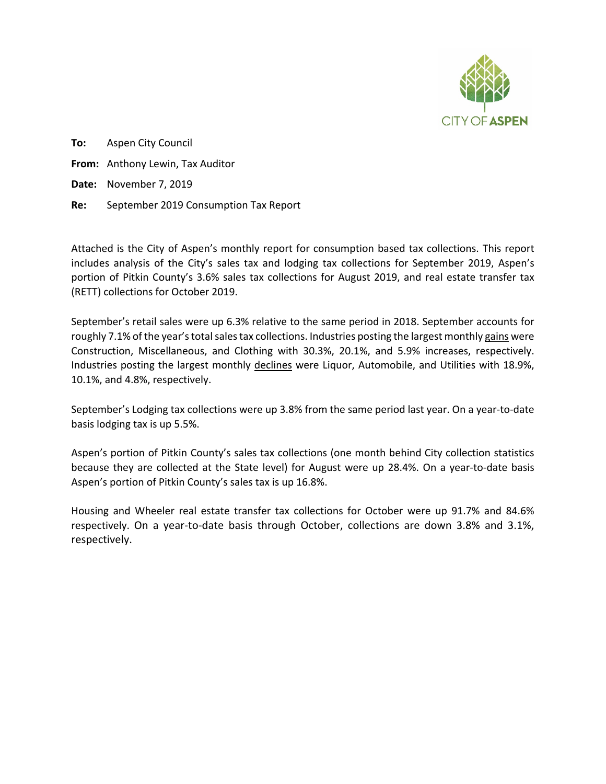

**To:** Aspen City Council **From:** Anthony Lewin, Tax Auditor **Date:** November 7, 2019 **Re:** September 2019 Consumption Tax Report

Attached is the City of Aspen's monthly report for consumption based tax collections. This report includes analysis of the City's sales tax and lodging tax collections for September 2019, Aspen's portion of Pitkin County's 3.6% sales tax collections for August 2019, and real estate transfer tax (RETT) collections for October 2019.

September's retail sales were up 6.3% relative to the same period in 2018. September accounts for roughly 7.1% of the year's total sales tax collections. Industries posting the largest monthly gains were Construction, Miscellaneous, and Clothing with 30.3%, 20.1%, and 5.9% increases, respectively. Industries posting the largest monthly declines were Liquor, Automobile, and Utilities with 18.9%, 10.1%, and 4.8%, respectively.

September's Lodging tax collections were up 3.8% from the same period last year. On a year-to-date basis lodging tax is up 5.5%.

Aspen's portion of Pitkin County's sales tax collections (one month behind City collection statistics because they are collected at the State level) for August were up 28.4%. On a year-to-date basis Aspen's portion of Pitkin County's sales tax is up 16.8%.

Housing and Wheeler real estate transfer tax collections for October were up 91.7% and 84.6% respectively. On a year-to-date basis through October, collections are down 3.8% and 3.1%, respectively.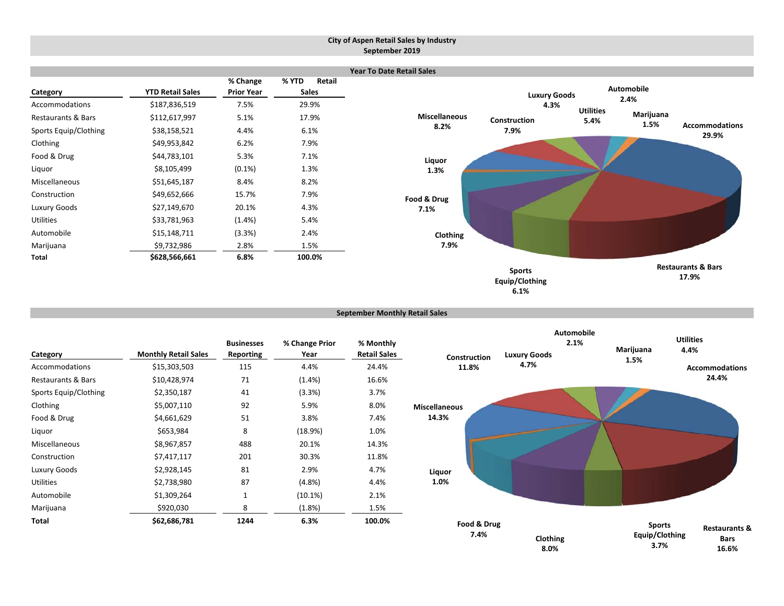#### **City of Aspen Retail Sales by Industry September 2019**



```
September Monthly Retail Sales
```

|                       |                             | <b>Businesses</b> | % Change Prior | % Monthly           |
|-----------------------|-----------------------------|-------------------|----------------|---------------------|
| Category              | <b>Monthly Retail Sales</b> | Reporting         | Year           | <b>Retail Sales</b> |
| Accommodations        | \$15,303,503                | 115               | 4.4%           | 24.4%               |
| Restaurants & Bars    | \$10,428,974                | 71                | $(1.4\%)$      | 16.6%               |
| Sports Equip/Clothing | \$2,350,187                 | 41                | $(3.3\%)$      | 3.7%                |
| Clothing              | \$5,007,110                 | 92                | 5.9%           | 8.0%                |
| Food & Drug           | \$4,661,629                 | 51                | 3.8%           | 7.4%                |
| Liquor                | \$653,984                   | 8                 | (18.9%)        | 1.0%                |
| Miscellaneous         | \$8,967,857                 | 488               | 20.1%          | 14.3%               |
| Construction          | \$7,417,117                 | 201               | 30.3%          | 11.8%               |
| Luxury Goods          | \$2,928,145                 | 81                | 2.9%           | 4.7%                |
| <b>Utilities</b>      | \$2,738,980                 | 87                | $(4.8\%)$      | 4.4%                |
| Automobile            | \$1,309,264                 | $\mathbf{1}$      | $(10.1\%)$     | 2.1%                |
| Marijuana             | \$920,030                   | 8                 | $(1.8\%)$      | 1.5%                |
| Total                 | \$62,686,781                | 1244              | 6.3%           | 100.0%              |



**6.1%**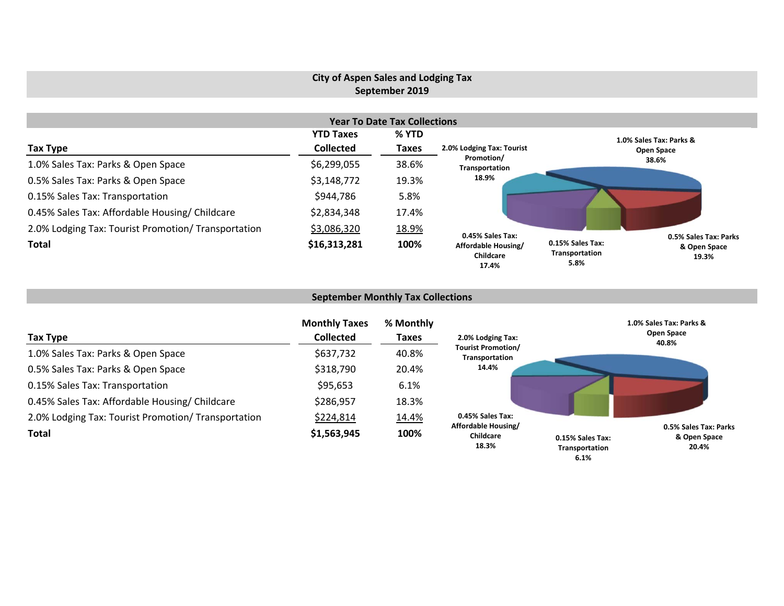## **City of Aspen Sales and Lodging Tax September 2019**

|                                                     |                  | <b>Year To Date Tax Collections</b> |                                           |                                                                                              |  |
|-----------------------------------------------------|------------------|-------------------------------------|-------------------------------------------|----------------------------------------------------------------------------------------------|--|
|                                                     | <b>YTD Taxes</b> | % YTD                               |                                           | 1.0% Sales Tax: Parks &                                                                      |  |
| Tax Type                                            | <b>Collected</b> | <b>Taxes</b>                        | 2.0% Lodging Tax: Tourist                 | Open Space                                                                                   |  |
| 1.0% Sales Tax: Parks & Open Space                  | \$6,299,055      | 38.6%                               | Promotion/<br>Transportation              | 38.6%                                                                                        |  |
| 0.5% Sales Tax: Parks & Open Space                  | \$3,148,772      | 19.3%                               | 18.9%                                     |                                                                                              |  |
| 0.15% Sales Tax: Transportation                     | \$944,786        | 5.8%                                |                                           |                                                                                              |  |
| 0.45% Sales Tax: Affordable Housing/ Childcare      | \$2,834,348      | 17.4%                               |                                           |                                                                                              |  |
| 2.0% Lodging Tax: Tourist Promotion/ Transportation | \$3,086,320      | 18.9%                               | 0.45% Sales Tax:                          |                                                                                              |  |
| <b>Total</b>                                        | \$16,313,281     | 100%                                | Affordable Housing/<br>Childcare<br>17.4% | 0.5% Sales Tax: Parks<br>0.15% Sales Tax:<br>& Open Space<br>Transportation<br>19.3%<br>5.8% |  |

# **September Monthly Tax Collections**

| Tax Type                                            | <b>Monthly Taxes</b><br><b>Collected</b> | % Monthly<br><b>Taxes</b> | 2.0% Lodging Tax:                                | 1.0% Sales Tax: Parks &<br>Open Space<br>40.8%                                               |
|-----------------------------------------------------|------------------------------------------|---------------------------|--------------------------------------------------|----------------------------------------------------------------------------------------------|
| 1.0% Sales Tax: Parks & Open Space                  | \$637,732                                | 40.8%                     | <b>Tourist Promotion/</b><br>Transportation      |                                                                                              |
| 0.5% Sales Tax: Parks & Open Space                  | \$318,790                                | 20.4%                     | 14.4%                                            |                                                                                              |
| 0.15% Sales Tax: Transportation                     | \$95,653                                 | 6.1%                      |                                                  |                                                                                              |
| 0.45% Sales Tax: Affordable Housing/ Childcare      | \$286,957                                | 18.3%                     |                                                  |                                                                                              |
| 2.0% Lodging Tax: Tourist Promotion/ Transportation | \$224,814                                | 14.4%                     | 0.45% Sales Tax:                                 |                                                                                              |
| <b>Total</b>                                        | \$1,563,945                              | 100%                      | Affordable Housing/<br><b>Childcare</b><br>18.3% | 0.5% Sales Tax: Parks<br>& Open Space<br>0.15% Sales Tax:<br>20.4%<br>Transportation<br>6.1% |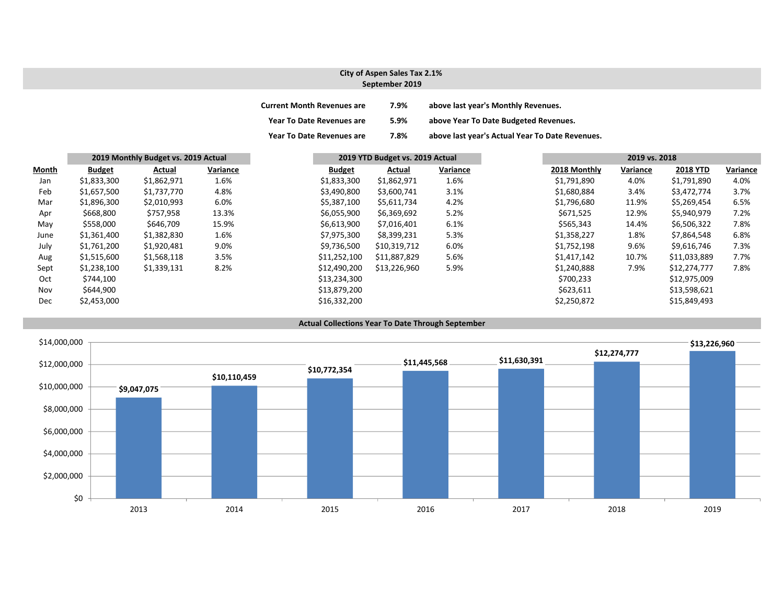#### **City of Aspen Sales Tax 2.1% September 2019**

| <b>Current Month Revenues are</b> | 7.9% | above last year's Monthly Revenues.             |
|-----------------------------------|------|-------------------------------------------------|
| <b>Year To Date Revenues are</b>  | 5.9% | above Year To Date Budgeted Revenues.           |
| <b>Year To Date Revenues are</b>  | 7.8% | above last year's Actual Year To Date Revenues. |

|              |               | 2019 Monthly Budget vs. 2019 Actual |          |               | 2019 YTD Budget vs. 2019 Actual |          | 2019 vs. 2018 |          |                 |          |
|--------------|---------------|-------------------------------------|----------|---------------|---------------------------------|----------|---------------|----------|-----------------|----------|
| <b>Month</b> | <b>Budget</b> | Actual                              | Variance | <b>Budget</b> | Actual                          | Variance | 2018 Monthly  | Variance | <b>2018 YTD</b> | Variance |
| Jan          | \$1,833,300   | \$1,862,971                         | 1.6%     | \$1,833,300   | \$1,862,971                     | 1.6%     | \$1,791,890   | 4.0%     | \$1,791,890     | 4.0%     |
| Feb          | \$1,657,500   | \$1,737,770                         | 4.8%     | \$3,490,800   | \$3,600,741                     | 3.1%     | \$1,680,884   | 3.4%     | \$3,472,774     | 3.7%     |
| Mar          | \$1,896,300   | \$2,010,993                         | 6.0%     | \$5,387,100   | \$5,611,734                     | 4.2%     | \$1,796,680   | 11.9%    | \$5,269,454     | 6.5%     |
| Apr          | \$668,800     | \$757,958                           | 13.3%    | \$6,055,900   | \$6,369,692                     | 5.2%     | \$671,525     | 12.9%    | \$5,940,979     | 7.2%     |
| May          | \$558,000     | \$646,709                           | 15.9%    | \$6,613,900   | \$7,016,401                     | 6.1%     | \$565,343     | 14.4%    | \$6,506,322     | 7.8%     |
| June         | \$1,361,400   | \$1,382,830                         | 1.6%     | \$7,975,300   | \$8,399,231                     | 5.3%     | \$1,358,227   | 1.8%     | \$7,864,548     | 6.8%     |
| July         | \$1,761,200   | \$1,920,481                         | 9.0%     | \$9,736,500   | \$10,319,712                    | 6.0%     | \$1,752,198   | 9.6%     | \$9,616,746     | 7.3%     |
| Aug          | \$1,515,600   | \$1,568,118                         | 3.5%     | \$11,252,100  | \$11,887,829                    | 5.6%     | \$1,417,142   | 10.7%    | \$11,033,889    | 7.7%     |
| Sept         | \$1,238,100   | \$1,339,131                         | 8.2%     | \$12,490,200  | \$13,226,960                    | 5.9%     | \$1,240,888   | 7.9%     | \$12,274,777    | 7.8%     |
| Oct          | \$744,100     |                                     |          | \$13,234,300  |                                 |          | \$700,233     |          | \$12,975,009    |          |
| Nov          | \$644,900     |                                     |          | \$13,879,200  |                                 |          | \$623,611     |          | \$13,598,621    |          |
| Dec          | \$2,453,000   |                                     |          | \$16,332,200  |                                 |          | \$2,250,872   |          | \$15,849,493    |          |



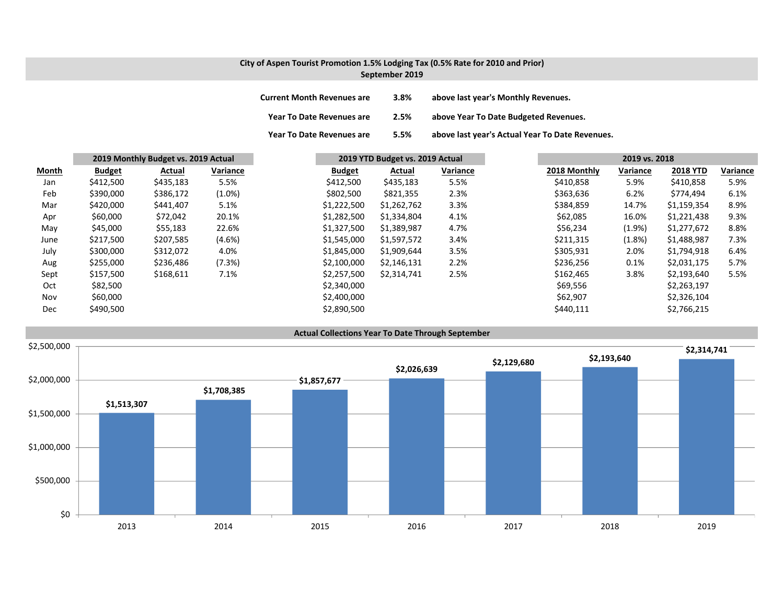#### **City of Aspen Tourist Promotion 1.5% Lodging Tax (0.5% Rate for 2010 and Prior) September 2019**

| <b>Current Month Revenues are</b> | 3.8% | above last year's Monthly Revenues.             |
|-----------------------------------|------|-------------------------------------------------|
| Year To Date Revenues are         | 2.5% | above Year To Date Budgeted Revenues.           |
| <b>Year To Date Revenues are</b>  | 5.5% | above last year's Actual Year To Date Revenues. |

|       |               | 2019 Monthly Budget vs. 2019 Actual |           | 2019 YTD Budget vs. 2019 Actual |             |          | 2019 vs. 2018 |          |                 |          |
|-------|---------------|-------------------------------------|-----------|---------------------------------|-------------|----------|---------------|----------|-----------------|----------|
| Month | <b>Budget</b> | Actual                              | Variance  | <b>Budget</b>                   | Actual      | Variance | 2018 Monthly  | Variance | <b>2018 YTD</b> | Variance |
| Jan   | \$412,500     | \$435,183                           | 5.5%      | \$412,500                       | \$435,183   | 5.5%     | \$410,858     | 5.9%     | \$410,858       | 5.9%     |
| Feb   | \$390,000     | \$386,172                           | $(1.0\%)$ | \$802,500                       | \$821,355   | 2.3%     | \$363,636     | 6.2%     | \$774.494       | 6.1%     |
| Mar   | \$420,000     | \$441,407                           | 5.1%      | \$1,222,500                     | \$1,262,762 | 3.3%     | \$384,859     | 14.7%    | \$1,159,354     | 8.9%     |
| Apr   | \$60,000      | \$72,042                            | 20.1%     | \$1,282,500                     | \$1,334,804 | 4.1%     | \$62,085      | 16.0%    | \$1,221,438     | 9.3%     |
| May   | \$45,000      | \$55,183                            | 22.6%     | \$1,327,500                     | \$1,389,987 | 4.7%     | \$56,234      | (1.9%    | \$1,277,672     | 8.8%     |
| June  | \$217,500     | \$207,585                           | $(4.6\%)$ | \$1,545,000                     | \$1,597,572 | 3.4%     | \$211,315     | (1.8%)   | \$1,488,987     | 7.3%     |
| July  | \$300,000     | \$312,072                           | 4.0%      | \$1,845,000                     | \$1,909,644 | 3.5%     | \$305,931     | 2.0%     | \$1,794,918     | 6.4%     |
| Aug   | \$255,000     | \$236,486                           | (7.3%)    | \$2,100,000                     | \$2,146,131 | 2.2%     | \$236,256     | 0.1%     | \$2,031,175     | 5.7%     |
| Sept  | \$157,500     | \$168,611                           | 7.1%      | \$2,257,500                     | \$2,314,741 | 2.5%     | \$162,465     | 3.8%     | \$2,193,640     | 5.5%     |
| Oct   | \$82,500      |                                     |           | \$2,340,000                     |             |          | \$69,556      |          | \$2,263,197     |          |
| Nov   | \$60,000      |                                     |           | \$2,400,000                     |             |          | \$62,907      |          | \$2,326,104     |          |
| Dec   | \$490,500     |                                     |           | \$2,890,500                     |             |          | \$440,111     |          | \$2,766,215     |          |

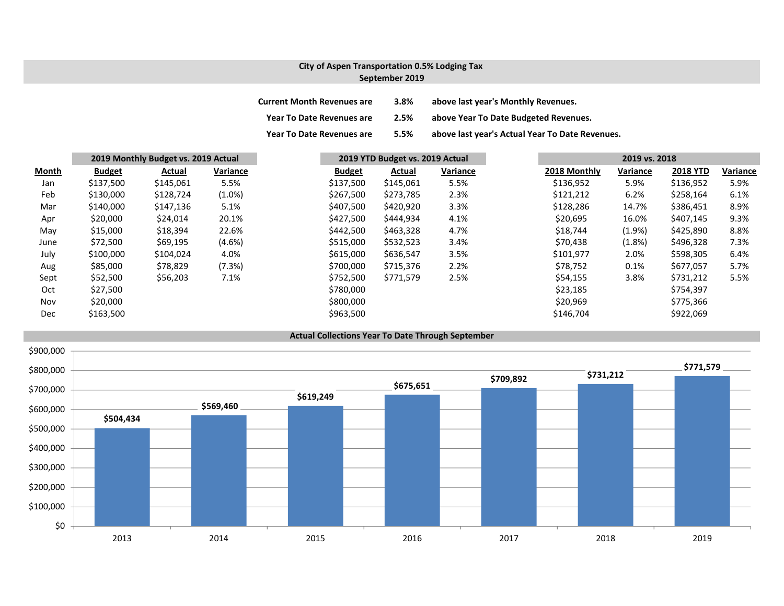## **City of Aspen Transportation 0.5% Lodging Tax September 2019**

| <b>Current Month Revenues are</b> | 3.8% | above last year's Monthly Revenues.             |
|-----------------------------------|------|-------------------------------------------------|
| <b>Year To Date Revenues are</b>  | 2.5% | above Year To Date Budgeted Revenues.           |
| <b>Year To Date Revenues are</b>  | 5.5% | above last year's Actual Year To Date Revenues. |

|            | 2019 Monthly Budget vs. 2019 Actual |           |           | 2019 YTD Budget vs. 2019 Actual |           |          |  | 2019 vs. 2018 |           |                 |          |
|------------|-------------------------------------|-----------|-----------|---------------------------------|-----------|----------|--|---------------|-----------|-----------------|----------|
| Month      | <b>Budget</b>                       | Actual    | Variance  | <b>Budget</b>                   | Actual    | Variance |  | 2018 Monthly  | Variance  | <b>2018 YTD</b> | Variance |
| Jan        | \$137,500                           | \$145,061 | 5.5%      | \$137,500                       | \$145,061 | 5.5%     |  | \$136,952     | 5.9%      | \$136,952       | 5.9%     |
| Feb        | \$130,000                           | \$128,724 | $(1.0\%)$ | \$267,500                       | \$273,785 | 2.3%     |  | \$121,212     | 6.2%      | \$258,164       | 6.1%     |
| Mar        | \$140,000                           | \$147,136 | 5.1%      | \$407,500                       | \$420,920 | 3.3%     |  | \$128,286     | 14.7%     | \$386,451       | 8.9%     |
| Apr        | \$20,000                            | \$24,014  | 20.1%     | \$427,500                       | \$444,934 | 4.1%     |  | \$20,695      | 16.0%     | \$407,145       | 9.3%     |
| May        | \$15,000                            | \$18,394  | 22.6%     | \$442,500                       | \$463,328 | 4.7%     |  | \$18,744      | $(1.9\%)$ | \$425,890       | 8.8%     |
| June       | \$72,500                            | \$69,195  | $(4.6\%)$ | \$515,000                       | \$532,523 | 3.4%     |  | \$70,438      | (1.8%)    | \$496,328       | 7.3%     |
| July       | \$100,000                           | \$104,024 | 4.0%      | \$615,000                       | \$636,547 | 3.5%     |  | \$101,977     | 2.0%      | \$598,305       | 6.4%     |
| Aug        | \$85,000                            | \$78,829  | (7.3%)    | \$700,000                       | \$715,376 | 2.2%     |  | \$78,752      | 0.1%      | \$677,057       | 5.7%     |
| Sept       | \$52,500                            | \$56,203  | 7.1%      | \$752,500                       | \$771,579 | 2.5%     |  | \$54,155      | 3.8%      | \$731,212       | 5.5%     |
| Oct        | \$27,500                            |           |           | \$780,000                       |           |          |  | \$23,185      |           | \$754,397       |          |
| Nov        | \$20,000                            |           |           | \$800,000                       |           |          |  | \$20,969      |           | \$775,366       |          |
| <b>Dec</b> | \$163,500                           |           |           | \$963,500                       |           |          |  | \$146,704     |           | \$922,069       |          |

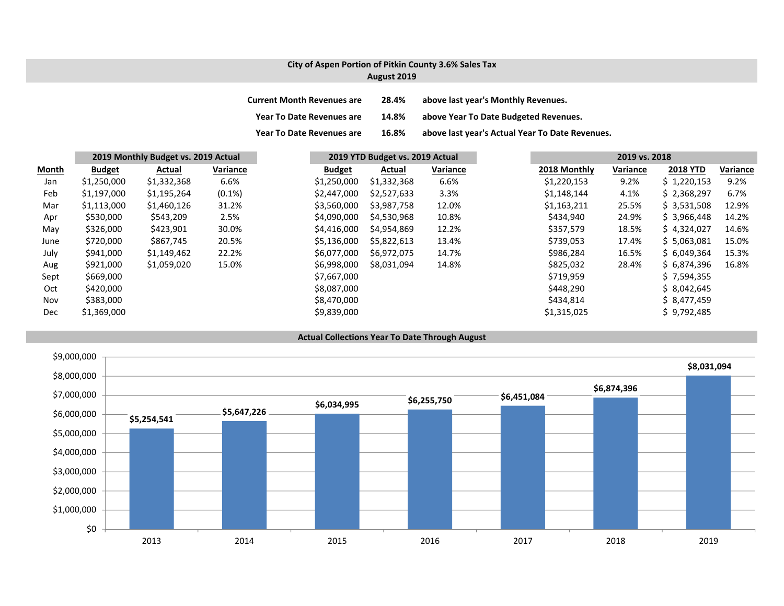### **City of Aspen Portion of Pitkin County 3.6% Sales Tax August 2019**

| <b>Current Month Revenues are</b> | 28.4% | above last year's Monthly Revenues.             |
|-----------------------------------|-------|-------------------------------------------------|
| <b>Year To Date Revenues are</b>  | 14.8% | above Year To Date Budgeted Revenues.           |
| <b>Year To Date Revenues are</b>  | 16.8% | above last year's Actual Year To Date Revenues. |

|       |               | 2019 Monthly Budget vs. 2019 Actual |           | 2019 YTD Budget vs. 2019 Actual |             |          | 2019 vs. 2018 |          |                 |          |
|-------|---------------|-------------------------------------|-----------|---------------------------------|-------------|----------|---------------|----------|-----------------|----------|
| Month | <b>Budget</b> | Actual                              | Variance  | <b>Budget</b>                   | Actual      | Variance | 2018 Monthly  | Variance | <b>2018 YTD</b> | Variance |
| Jan   | \$1,250,000   | \$1,332,368                         | 6.6%      | \$1,250,000                     | \$1,332,368 | 6.6%     | \$1,220,153   | 9.2%     | \$1,220,153     | 9.2%     |
| Feb   | \$1,197,000   | \$1,195,264                         | $(0.1\%)$ | \$2,447,000                     | \$2,527,633 | 3.3%     | \$1,148,144   | 4.1%     | \$2,368,297     | 6.7%     |
| Mar   | \$1,113,000   | \$1,460,126                         | 31.2%     | \$3,560,000                     | \$3,987,758 | 12.0%    | \$1,163,211   | 25.5%    | \$3,531,508     | 12.9%    |
| Apr   | \$530,000     | \$543,209                           | 2.5%      | \$4,090,000                     | \$4,530,968 | 10.8%    | \$434,940     | 24.9%    | \$3,966,448     | 14.2%    |
| May   | \$326,000     | \$423,901                           | 30.0%     | \$4,416,000                     | \$4,954,869 | 12.2%    | \$357,579     | 18.5%    | \$4,324,027     | 14.6%    |
| June  | \$720,000     | \$867,745                           | 20.5%     | \$5,136,000                     | \$5,822,613 | 13.4%    | \$739,053     | 17.4%    | \$5,063,081     | 15.0%    |
| July  | \$941,000     | \$1,149,462                         | 22.2%     | \$6,077,000                     | \$6,972,075 | 14.7%    | \$986,284     | 16.5%    | \$6,049,364     | 15.3%    |
| Aug   | \$921,000     | \$1,059,020                         | 15.0%     | \$6,998,000                     | \$8,031,094 | 14.8%    | \$825,032     | 28.4%    | \$6,874,396     | 16.8%    |
| Sept  | \$669,000     |                                     |           | \$7,667,000                     |             |          | \$719,959     |          | \$7,594,355     |          |
| Oct   | \$420,000     |                                     |           | \$8,087,000                     |             |          | \$448,290     |          | \$8,042,645     |          |
| Nov   | \$383,000     |                                     |           | \$8,470,000                     |             |          | \$434,814     |          | \$8,477,459     |          |
| Dec   | \$1,369,000   |                                     |           | \$9,839,000                     |             |          | \$1,315,025   |          | \$9,792,485     |          |

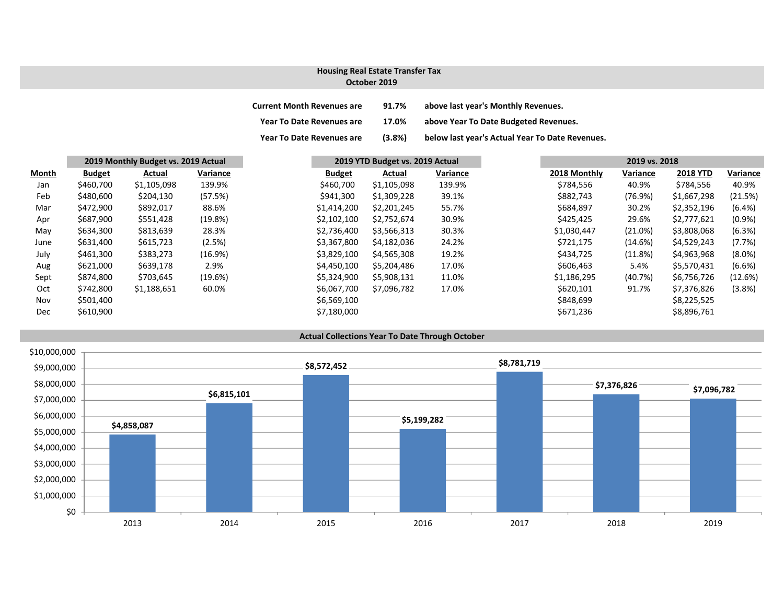#### **October 2019Housing Real Estate Transfer Tax**

| <b>Current Month Revenues are</b> | 91.7%  | above last year's Monthly Revenues.             |
|-----------------------------------|--------|-------------------------------------------------|
| <b>Year To Date Revenues are</b>  | 17.0%  | above Year To Date Budgeted Revenues.           |
| <b>Year To Date Revenues are</b>  | (3.8%) | below last year's Actual Year To Date Revenues. |

| Month | 2019 Monthly Budget vs. 2019 Actual |             |            |               | 2019 YTD Budget vs. 2019 Actual |          |  | 2019 vs. 2018 |          |                 |  |
|-------|-------------------------------------|-------------|------------|---------------|---------------------------------|----------|--|---------------|----------|-----------------|--|
|       | <b>Budget</b>                       | Actual      | Variance   | <b>Budget</b> | Actual                          | Variance |  | 2018 Monthly  | Variance | <b>2018 YTD</b> |  |
| Jan   | \$460,700                           | \$1,105,098 | 139.9%     | \$460,700     | \$1,105,098                     | 139.9%   |  | \$784,556     | 40.9%    | \$784,556       |  |
| Feb   | \$480,600                           | \$204,130   | (57.5%)    | \$941,300     | \$1,309,228                     | 39.1%    |  | \$882,743     | (76.9%)  | \$1,667,298     |  |
| Mar   | \$472,900                           | \$892,017   | 88.6%      | \$1,414,200   | \$2,201,245                     | 55.7%    |  | \$684,897     | 30.2%    | \$2,352,196     |  |
| Apr   | \$687,900                           | \$551,428   | (19.8%)    | \$2,102,100   | \$2,752,674                     | 30.9%    |  | \$425,425     | 29.6%    | \$2,777,621     |  |
| May   | \$634,300                           | \$813,639   | 28.3%      | \$2,736,400   | \$3,566,313                     | 30.3%    |  | \$1,030,447   | (21.0%)  | \$3,808,068     |  |
| June  | \$631,400                           | \$615,723   | (2.5%)     | \$3,367,800   | \$4,182,036                     | 24.2%    |  | \$721,175     | (14.6%)  | \$4,529,243     |  |
| July  | \$461,300                           | \$383,273   | $(16.9\%)$ | \$3,829,100   | \$4,565,308                     | 19.2%    |  | \$434,725     | (11.8%)  | \$4,963,968     |  |
| Aug   | \$621,000                           | \$639,178   | 2.9%       | \$4,450,100   | \$5,204,486                     | 17.0%    |  | \$606,463     | 5.4%     | \$5,570,431     |  |
| Sept  | \$874,800                           | \$703,645   | (19.6%)    | \$5,324,900   | \$5,908,131                     | 11.0%    |  | \$1,186,295   | (40.7%)  | \$6,756,726     |  |
| Oct   | \$742,800                           | \$1,188,651 | 60.0%      | \$6,067,700   | \$7,096,782                     | 17.0%    |  | \$620,101     | 91.7%    | \$7,376,826     |  |
| Nov   | \$501,400                           |             |            | \$6,569,100   |                                 |          |  | \$848,699     |          | \$8,225,525     |  |
| Dec   | \$610,900                           |             |            | \$7,180,000   |                                 |          |  | \$671,236     |          | \$8,896,761     |  |